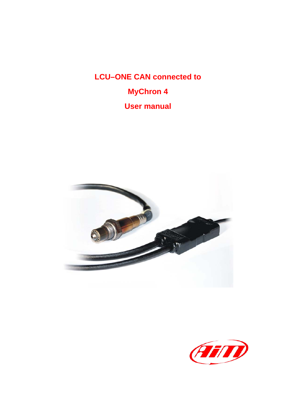**LCU–ONE CAN connected to MyChron 4 User manual** 



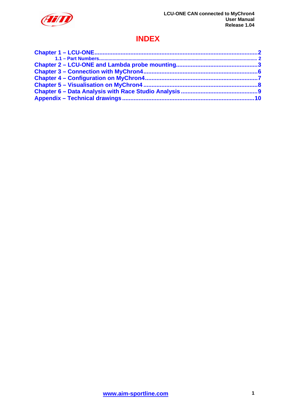

### **INDEX**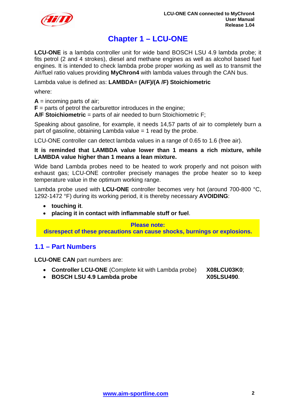<span id="page-2-0"></span>

### <sup>0</sup>**Chapter 1 – LCU-ONE**

**LCU-ONE** is a lambda controller unit for wide band BOSCH LSU 4.9 lambda probe; it fits petrol (2 and 4 strokes), diesel and methane engines as well as alcohol based fuel engines. It is intended to check lambda probe proper working as well as to transmit the Air/fuel ratio values providing **MyChron4** with lambda values through the CAN bus.

Lambda value is defined as: **LAMBDA= (A/F)/(A /F) Stoichiometric**

where:

 $A =$  incoming parts of air;

 $$ 

**A/F Stoichiometric** = parts of air needed to burn Stoichiometric F;

Speaking about gasoline, for example, it needs 14,57 parts of air to completely burn a part of gasoline, obtaining Lambda value  $= 1$  read by the probe.

LCU-ONE controller can detect lambda values in a range of 0.65 to 1.6 (free air).

#### **It is reminded that LAMBDA value lower than 1 means a rich mixture, while LAMBDA value higher than 1 means a lean mixture.**

Wide band Lambda probes need to be heated to work properly and not poison with exhaust gas; LCU-ONE controller precisely manages the probe heater so to keep temperature value in the optimum working range.

Lambda probe used with **LCU-ONE** controller becomes very hot (around 700-800 °C, 1292-1472 °F) during its working period, it is thereby necessary **AVOIDING**:

- **touching it**.
- **placing it in contact with inflammable stuff or fuel**.

**Please note: disrespect of these precautions can cause shocks, burnings or explosions.** 

### <sup>7</sup>**1.1 – Part Numbers**

**LCU-ONE CAN** part numbers are:

- **Controller LCU-ONE** (Complete kit with Lambda probe) **X08LCU03K0**;
	-
- **BOSCH LSU 4.9 Lambda probe X05LSU490**.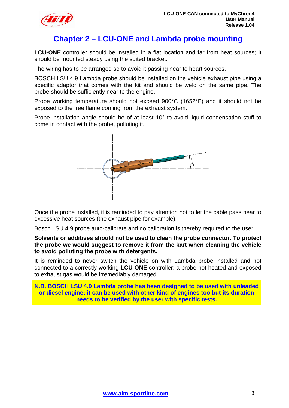<span id="page-3-0"></span>

### <sup>1</sup>**Chapter 2 – LCU-ONE and Lambda probe mounting**

**LCU-ONE** controller should be installed in a flat location and far from heat sources; it should be mounted steady using the suited bracket.

The wiring has to be arranged so to avoid it passing near to heart sources.

BOSCH LSU 4.9 Lambda probe should be installed on the vehicle exhaust pipe using a specific adaptor that comes with the kit and should be weld on the same pipe. The probe should be sufficiently near to the engine.

Probe working temperature should not exceed 900°C (1652°F) and it should not be exposed to the free flame coming from the exhaust system.

Probe installation angle should be of at least 10° to avoid liquid condensation stuff to come in contact with the probe, polluting it.



Once the probe installed, it is reminded to pay attention not to let the cable pass near to excessive heat sources (the exhaust pipe for example).

Bosch LSU 4.9 probe auto-calibrate and no calibration is thereby required to the user.

**Solvents or additives should not be used to clean the probe connector. To protect the probe we would suggest to remove it from the kart when cleaning the vehicle to avoid polluting the probe with detergents.** 

It is reminded to never switch the vehicle on with Lambda probe installed and not connected to a correctly working **LCU-ONE** controller: a probe not heated and exposed to exhaust gas would be irremediably damaged.

**N.B. BOSCH LSU 4.9 Lambda probe has been designed to be used with unleaded or diesel engine: it can be used with other kind of engines too but its duration needs to be verified by the user with specific tests.**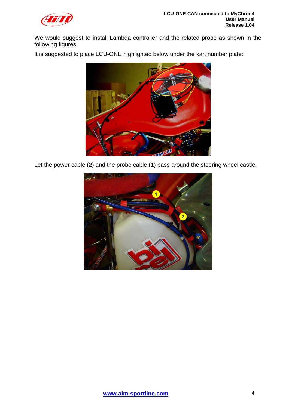

We would suggest to install Lambda controller and the related probe as shown in the following figures.

It is suggested to place LCU-ONE highlighted below under the kart number plate:



Let the power cable (**2**) and the probe cable (**1**) pass around the steering wheel castle.

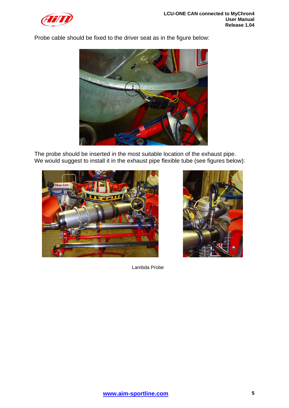

Probe cable should be fixed to the driver seat as in the figure below:



The probe should be inserted in the most suitable location of the exhaust pipe. We would suggest to install it in the exhaust pipe flexible tube (see figures below):





Lambda Probe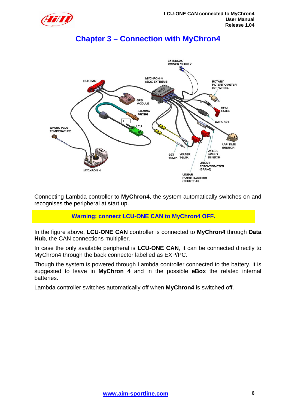<span id="page-6-0"></span>

### <sup>2</sup>**Chapter 3 – Connection with MyChron4**



Connecting Lambda controller to **MyChron4**, the system automatically switches on and recognises the peripheral at start up.

### **Warning: connect LCU-ONE CAN to MyChron4 OFF.**

In the figure above, **LCU-ONE CAN** controller is connected to **MyChron4** through **Data Hub**, the CAN connections multiplier.

In case the only available peripheral is **LCU-ONE CAN**, it can be connected directly to MyChron4 through the back connector labelled as EXP/PC.

Though the system is powered through Lambda controller connected to the battery, it is suggested to leave in **MyChron 4** and in the possible **eBox** the related internal batteries.

Lambda controller switches automatically off when **MyChron4** is switched off.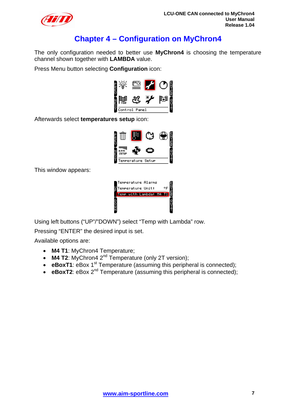<span id="page-7-0"></span>

## <sup>3</sup>**Chapter 4 – Configuration on MyChron4**

The only configuration needed to better use **MyChron4** is choosing the temperature channel shown together with **LAMBDA** value.

Press Menu button selecting **Configuration** icon:



Afterwards select **temperatures setup** icon:



This window appears:



Using left buttons ("UP"/"DOWN") select "Temp with Lambda" row.

Pressing "ENTER" the desired input is set.

Available options are:

- **M4 T1**: MyChron4 Temperature;
- **M4 T2**: MyChron4 2<sup>nd</sup> Temperature (only 2T version);
- **eBoxT1**: eBox 1<sup>st</sup> Temperature (assuming this peripheral is connected);
- **eBoxT2**: eBox 2<sup>nd</sup> Temperature (assuming this peripheral is connected);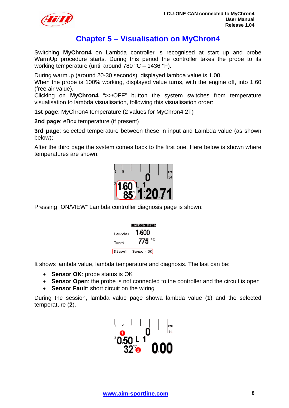<span id="page-8-0"></span>

### <sup>4</sup>**Chapter 5 – Visualisation on MyChron4**

Switching **MyChron4** on Lambda controller is recognised at start up and probe WarmUp procedure starts. During this period the controller takes the probe to its working temperature (until around 780 °C – 1436 °F).

During warmup (around 20-30 seconds), displayed lambda value is 1.00.

When the probe is 100% working, displayed value turns, with the engine off, into 1.60 (free air value).

Clicking on **MyChron4** ">>/OFF" button the system switches from temperature visualisation to lambda visualisation, following this visualisation order:

**1st page**: MyChron4 temperature (2 values for MyChron4 2T)

**2nd page**: eBox temperature (if present)

**3rd page**: selected temperature between these in input and Lambda value (as shown below);

After the third page the system comes back to the first one. Here below is shown where temperatures are shown.



Pressing "ON/VIEW" Lambda controller diagnosis page is shown:

|         | Lambda Data |  |  |
|---------|-------------|--|--|
| Lambda: | 1.600       |  |  |
| Temp:   | 775 °C      |  |  |
| Diasn:  | Senson OK   |  |  |

It shows lambda value, lambda temperature and diagnosis. The last can be:

- **Sensor OK**: probe status is OK
- **Sensor Open**: the probe is not connected to the controller and the circuit is open
- **Sensor Fault**: short circuit on the wiring

During the session, lambda value page showa lambda value (**1**) and the selected temperature (**2**).

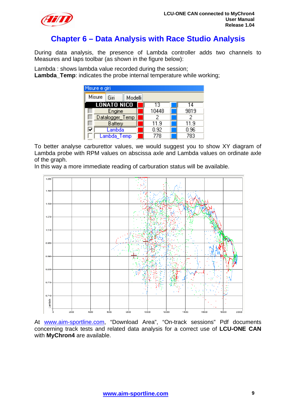<span id="page-9-0"></span>

### <sup>5</sup>**Chapter 6 – Data Analysis with Race Studio Analysis**

During data analysis, the presence of Lambda controller adds two channels to Measures and laps toolbar (as shown in the figure below):

Lambda : shows lambda value recorded during the session; **Lambda\_Temp**: indicates the probe internal temperature while working;

| Misure e giri             |       |      |  |  |
|---------------------------|-------|------|--|--|
| Misure<br>Giri<br>Modelli |       |      |  |  |
| <b>LONATO NICO</b>        | 13    | 14   |  |  |
| Engine                    | 10448 | 9819 |  |  |
| Datalogger_Temp           | 2     | 2    |  |  |
| Battery                   | 11.9  | 11.9 |  |  |
| Lambda                    | 0.92  | 0.96 |  |  |
| Lambda Temp               | 778   | 783  |  |  |

To better analyse carburettor values, we would suggest you to show XY diagram of Lambda probe with RPM values on abscissa axle and Lambda values on ordinate axle of the graph.

In this way a more immediate reading of carburation status will be available.



At [www.aim-sportline.com](http://www.aim-sportline.com/), "Download Area", "On-track sessions" Pdf documents concerning track tests and related data analysis for a correct use of **LCU-ONE CAN** with **MyChron4** are available.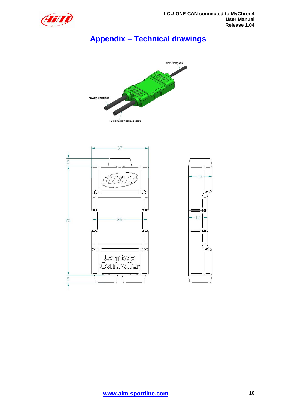<span id="page-10-0"></span>

# <sup>6</sup>**Appendix – Technical drawings**